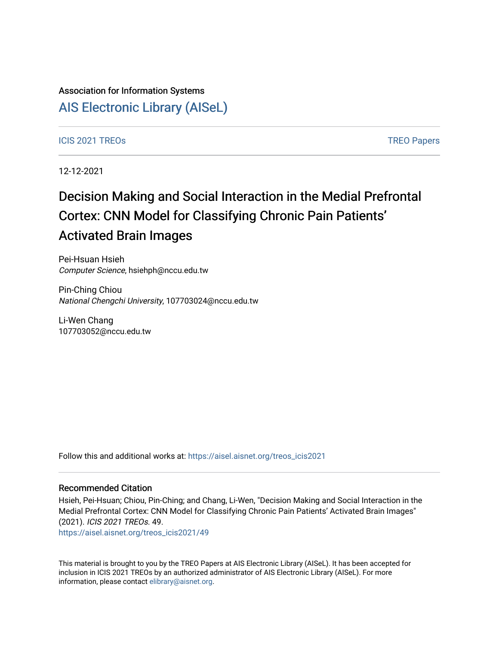## Association for Information Systems

## [AIS Electronic Library \(AISeL\)](https://aisel.aisnet.org/)

### ICIS 2021 TREOS Notes that the contract of the contract of the contract of the contract of the contract of the contract of the contract of the contract of the contract of the contract of the contract of the contract of the

12-12-2021

# Decision Making and Social Interaction in the Medial Prefrontal Cortex: CNN Model for Classifying Chronic Pain Patients' Activated Brain Images

Pei-Hsuan Hsieh Computer Science, hsiehph@nccu.edu.tw

Pin-Ching Chiou National Chengchi University, 107703024@nccu.edu.tw

Li-Wen Chang 107703052@nccu.edu.tw

Follow this and additional works at: [https://aisel.aisnet.org/treos\\_icis2021](https://aisel.aisnet.org/treos_icis2021?utm_source=aisel.aisnet.org%2Ftreos_icis2021%2F49&utm_medium=PDF&utm_campaign=PDFCoverPages) 

### Recommended Citation

Hsieh, Pei-Hsuan; Chiou, Pin-Ching; and Chang, Li-Wen, "Decision Making and Social Interaction in the Medial Prefrontal Cortex: CNN Model for Classifying Chronic Pain Patients' Activated Brain Images" (2021). ICIS 2021 TREOs. 49.

[https://aisel.aisnet.org/treos\\_icis2021/49](https://aisel.aisnet.org/treos_icis2021/49?utm_source=aisel.aisnet.org%2Ftreos_icis2021%2F49&utm_medium=PDF&utm_campaign=PDFCoverPages) 

This material is brought to you by the TREO Papers at AIS Electronic Library (AISeL). It has been accepted for inclusion in ICIS 2021 TREOs by an authorized administrator of AIS Electronic Library (AISeL). For more information, please contact [elibrary@aisnet.org.](mailto:elibrary@aisnet.org%3E)